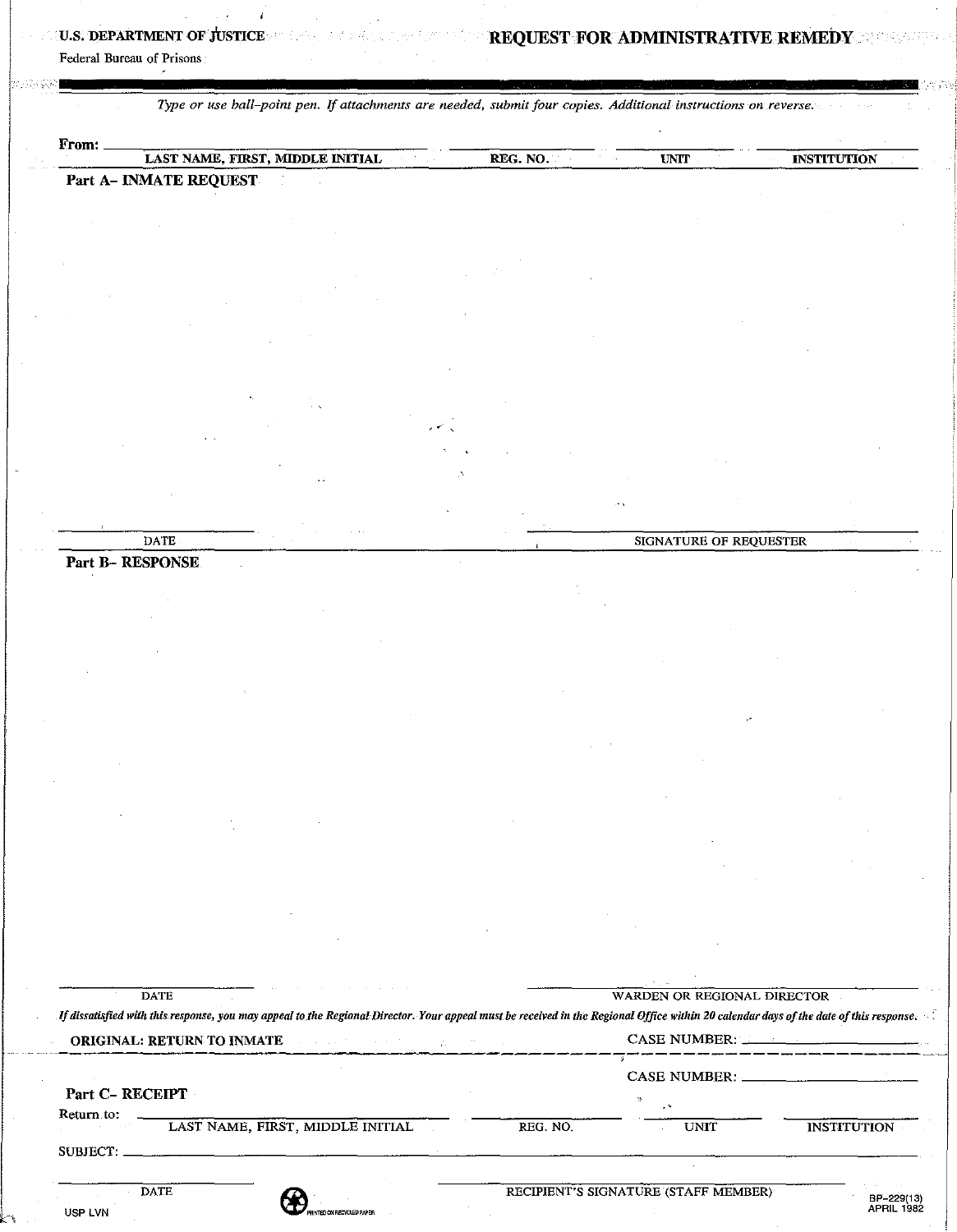# U.S. DEPARTMENT OF JUSTICE REGISTER REQUEST FOR ADMINISTRATIVE REMEDY REGISTER

Federal Bureau of Prisons

*Type or use ball-point pen.* If *attachments are needed, submit four copies. Additional instructions on reverse.* 

| From: |                                  |          |      |                    |
|-------|----------------------------------|----------|------|--------------------|
|       | LAST NAME, FIRST, MIDDLE INITIAL | REG. NO. | UNIT | <b>INSTITUTION</b> |
|       | Part A- INMATE REQUEST           |          |      |                    |

• < '

DATE SIGNATURE OF REQUESTER

|  | <b>Part B- RESPONSE</b> |
|--|-------------------------|

USP LVN

| <b>ORIGINAL: RETURN TO INMATE Experimental contract of the second service of the service of the service of the service of the service of the service of the service of the service of the service of the service of the servic</b> |          | CASE NUMBER: |                    |  |
|------------------------------------------------------------------------------------------------------------------------------------------------------------------------------------------------------------------------------------|----------|--------------|--------------------|--|
|                                                                                                                                                                                                                                    |          |              | CASE NUMBER:       |  |
| Part C-RECEIPT                                                                                                                                                                                                                     |          |              |                    |  |
| Return to:<br>LAST NAME, FIRST, MIDDLE INITIAL                                                                                                                                                                                     | REG. NO. | <b>UNIT</b>  | <b>INSTITUTION</b> |  |
|                                                                                                                                                                                                                                    |          |              |                    |  |
|                                                                                                                                                                                                                                    |          |              |                    |  |

BP-229(13)<br>APRIL 1982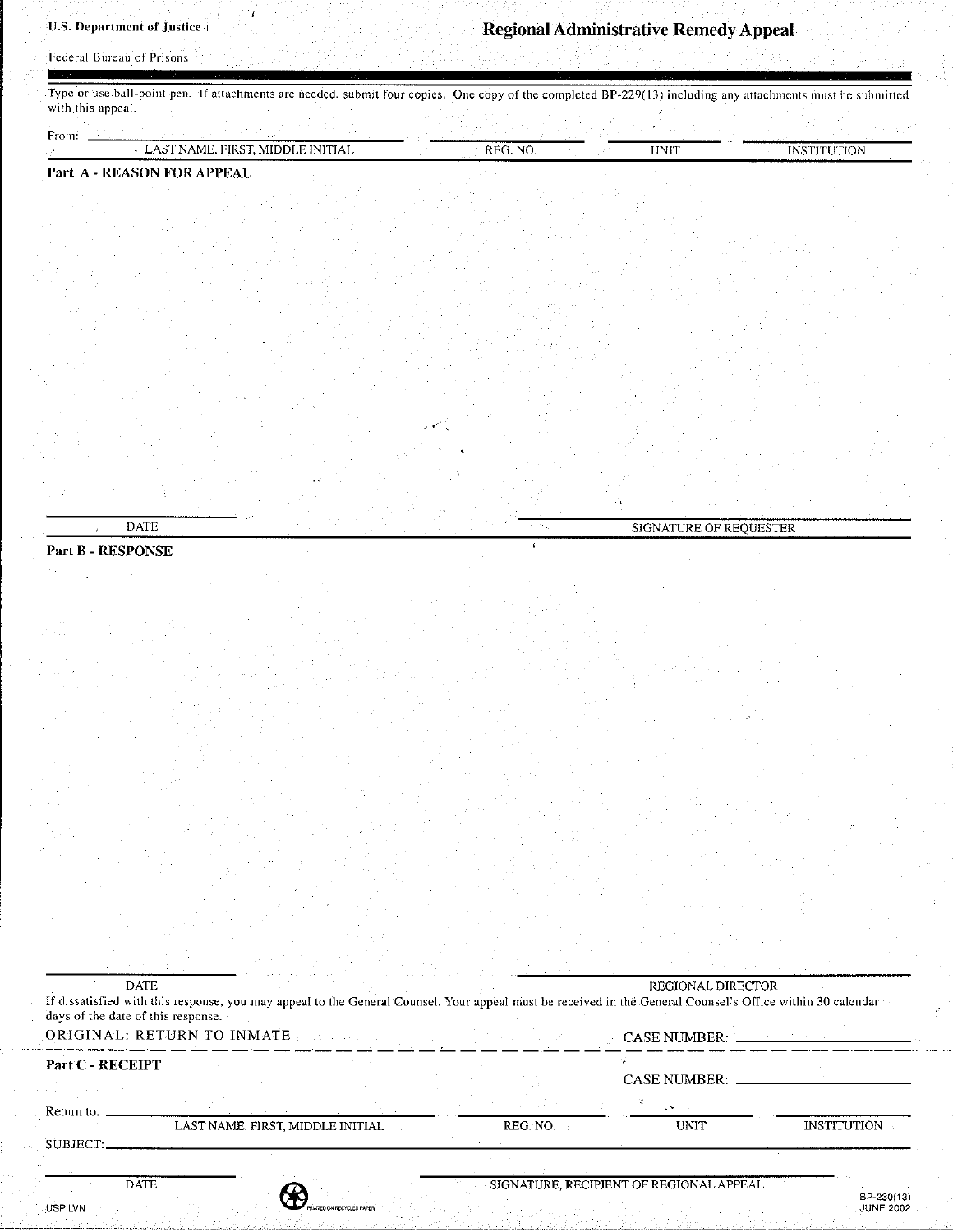Federal Bureau of Prisons

Type or use ball-point pen. If attachments are needed, submit four copies. One copy of the completed BP-229(13) including any attachments must be submitted with this appeal.

| From: |                                                                                        | <b>Production</b><br>_____ | . .<br>---              | .                    |
|-------|----------------------------------------------------------------------------------------|----------------------------|-------------------------|----------------------|
|       | $\sim$<br>FIRST<br>. <b> </b><br>л<br>- 11<br>IVI F<br>. IN L<br>--<br>--------------- | .<br>------------------    | <b>TIM TIME</b><br>، ۱۰ | <b>IN THE AVENUE</b> |
|       |                                                                                        |                            |                         |                      |

 $\sim$   $\sim$   $\sim$ 

DATE SIGNATURE OF REQUESTER

## Part A - REASON FOR APPEAL

Part B - RESPONSE

| <b>DATE</b><br>days of the date of this response. | Tf dissatisfied with this response, you may appeal to the General Counsel. Your appeal must be received in the General Counsel's Office within 30 calendar - |                                              | REGIONAL DIRECTOR   |                    |
|---------------------------------------------------|--------------------------------------------------------------------------------------------------------------------------------------------------------------|----------------------------------------------|---------------------|--------------------|
|                                                   | CORIGINAL: RETURN TO INMATE TELESCOPE                                                                                                                        | the company of the company of the company of |                     |                    |
| Part C - RECEIPT                                  |                                                                                                                                                              |                                              | <b>CASE NUMBER:</b> |                    |
| Return to:                                        |                                                                                                                                                              |                                              |                     |                    |
| SUBJECT.                                          | LAST NAME, FIRST, MIDDLE INITIAL                                                                                                                             | REG. NO.                                     | <b>UNIT</b>         | <b>INSTITUTION</b> |
|                                                   |                                                                                                                                                              |                                              |                     |                    |

:<br>D ON RECYCLED PAPER

DATE

--- -·--------~·----'-------------- - -----------.-----.. ~-~--'---